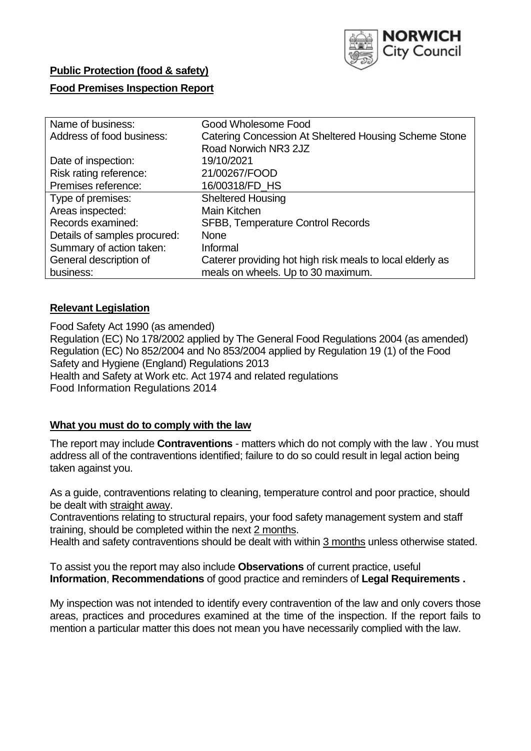

## **Public Protection (food & safety)**

#### **Food Premises Inspection Report**

| Name of business:            | Good Wholesome Food                                       |  |  |  |  |
|------------------------------|-----------------------------------------------------------|--|--|--|--|
| Address of food business:    | Catering Concession At Sheltered Housing Scheme Stone     |  |  |  |  |
|                              | Road Norwich NR3 2JZ                                      |  |  |  |  |
| Date of inspection:          | 19/10/2021                                                |  |  |  |  |
| Risk rating reference:       | 21/00267/FOOD                                             |  |  |  |  |
| Premises reference:          | 16/00318/FD_HS                                            |  |  |  |  |
| Type of premises:            | <b>Sheltered Housing</b>                                  |  |  |  |  |
| Areas inspected:             | <b>Main Kitchen</b>                                       |  |  |  |  |
| Records examined:            | <b>SFBB, Temperature Control Records</b>                  |  |  |  |  |
| Details of samples procured: | <b>None</b>                                               |  |  |  |  |
| Summary of action taken:     | Informal                                                  |  |  |  |  |
| General description of       | Caterer providing hot high risk meals to local elderly as |  |  |  |  |
| business:                    | meals on wheels. Up to 30 maximum.                        |  |  |  |  |

## **Relevant Legislation**

Food Safety Act 1990 (as amended) Regulation (EC) No 178/2002 applied by The General Food Regulations 2004 (as amended) Regulation (EC) No 852/2004 and No 853/2004 applied by Regulation 19 (1) of the Food Safety and Hygiene (England) Regulations 2013 Health and Safety at Work etc. Act 1974 and related regulations Food Information Regulations 2014

## **What you must do to comply with the law**

The report may include **Contraventions** - matters which do not comply with the law . You must address all of the contraventions identified; failure to do so could result in legal action being taken against you.

As a guide, contraventions relating to cleaning, temperature control and poor practice, should be dealt with straight away.

Contraventions relating to structural repairs, your food safety management system and staff training, should be completed within the next 2 months.

Health and safety contraventions should be dealt with within 3 months unless otherwise stated.

To assist you the report may also include **Observations** of current practice, useful **Information**, **Recommendations** of good practice and reminders of **Legal Requirements .**

My inspection was not intended to identify every contravention of the law and only covers those areas, practices and procedures examined at the time of the inspection. If the report fails to mention a particular matter this does not mean you have necessarily complied with the law.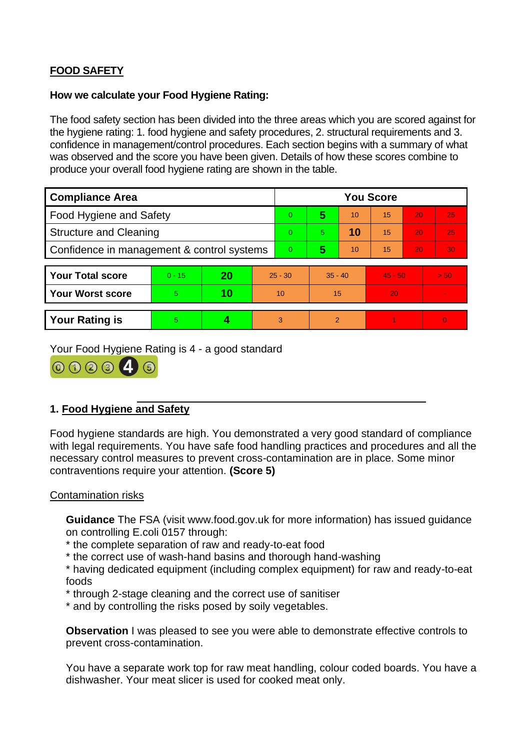# **FOOD SAFETY**

## **How we calculate your Food Hygiene Rating:**

The food safety section has been divided into the three areas which you are scored against for the hygiene rating: 1. food hygiene and safety procedures, 2. structural requirements and 3. confidence in management/control procedures. Each section begins with a summary of what was observed and the score you have been given. Details of how these scores combine to produce your overall food hygiene rating are shown in the table.

| <b>Compliance Area</b>                     |          |    |                | <b>You Score</b> |                |    |           |    |                |  |  |
|--------------------------------------------|----------|----|----------------|------------------|----------------|----|-----------|----|----------------|--|--|
| Food Hygiene and Safety                    |          |    |                | $\overline{0}$   | 5              | 10 | 15        | 20 | 25             |  |  |
| <b>Structure and Cleaning</b>              |          |    | $\Omega$       | $\overline{5}$   | 10             | 15 | 20        | 25 |                |  |  |
| Confidence in management & control systems |          |    | $\overline{0}$ | 5                | 10             | 15 | 20        | 30 |                |  |  |
|                                            |          |    |                |                  |                |    |           |    |                |  |  |
| <b>Your Total score</b>                    | $0 - 15$ | 20 | $25 - 30$      |                  | $35 - 40$      |    | $45 - 50$ |    | > 50           |  |  |
| <b>Your Worst score</b>                    | 5.       | 10 | 10             |                  | 15             |    | 20        |    | $\blacksquare$ |  |  |
|                                            |          |    |                |                  |                |    |           |    |                |  |  |
| <b>Your Rating is</b>                      | 5        |    |                | 3                | $\overline{2}$ |    |           |    | $\overline{0}$ |  |  |

Your Food Hygiene Rating is 4 - a good standard



# **1. Food Hygiene and Safety**

Food hygiene standards are high. You demonstrated a very good standard of compliance with legal requirements. You have safe food handling practices and procedures and all the necessary control measures to prevent cross-contamination are in place. Some minor contraventions require your attention. **(Score 5)**

## Contamination risks

**Guidance** The FSA (visit www.food.gov.uk for more information) has issued guidance on controlling E.coli 0157 through:

- \* the complete separation of raw and ready-to-eat food
- \* the correct use of wash-hand basins and thorough hand-washing

\* having dedicated equipment (including complex equipment) for raw and ready-to-eat foods

- \* through 2-stage cleaning and the correct use of sanitiser
- \* and by controlling the risks posed by soily vegetables.

**Observation** I was pleased to see you were able to demonstrate effective controls to prevent cross-contamination.

You have a separate work top for raw meat handling, colour coded boards. You have a dishwasher. Your meat slicer is used for cooked meat only.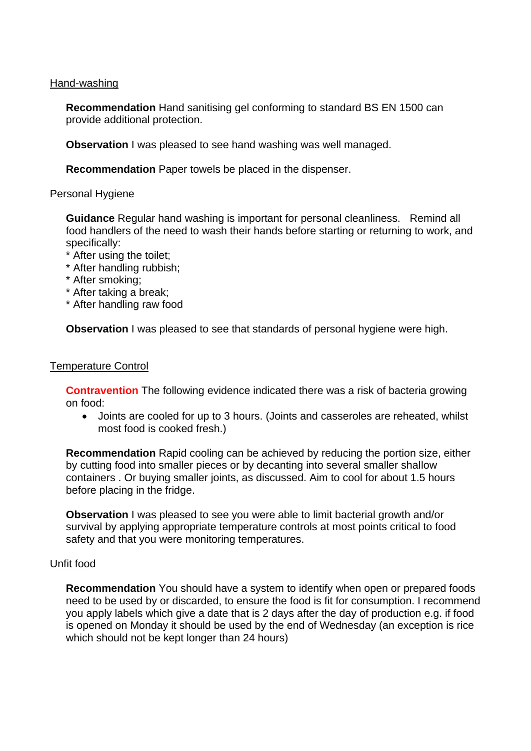#### Hand-washing

**Recommendation** Hand sanitising gel conforming to standard BS EN 1500 can provide additional protection.

**Observation** I was pleased to see hand washing was well managed.

**Recommendation** Paper towels be placed in the dispenser.

#### Personal Hygiene

**Guidance** Regular hand washing is important for personal cleanliness. Remind all food handlers of the need to wash their hands before starting or returning to work, and specifically:

- \* After using the toilet;
- \* After handling rubbish;
- \* After smoking;
- \* After taking a break;
- \* After handling raw food

**Observation** I was pleased to see that standards of personal hygiene were high.

#### Temperature Control

**Contravention** The following evidence indicated there was a risk of bacteria growing on food:

• Joints are cooled for up to 3 hours. (Joints and casseroles are reheated, whilst most food is cooked fresh.)

**Recommendation** Rapid cooling can be achieved by reducing the portion size, either by cutting food into smaller pieces or by decanting into several smaller shallow containers . Or buying smaller joints, as discussed. Aim to cool for about 1.5 hours before placing in the fridge.

**Observation** I was pleased to see you were able to limit bacterial growth and/or survival by applying appropriate temperature controls at most points critical to food safety and that you were monitoring temperatures.

#### Unfit food

**Recommendation** You should have a system to identify when open or prepared foods need to be used by or discarded, to ensure the food is fit for consumption. I recommend you apply labels which give a date that is 2 days after the day of production e.g. if food is opened on Monday it should be used by the end of Wednesday (an exception is rice which should not be kept longer than 24 hours)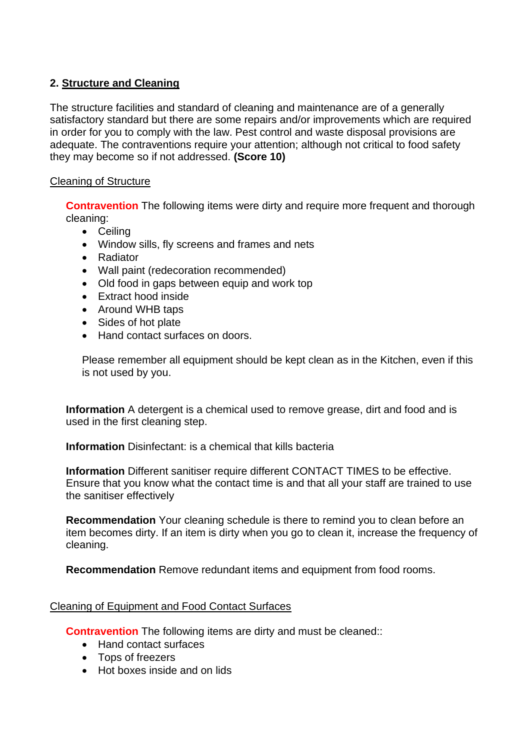## **2. Structure and Cleaning**

The structure facilities and standard of cleaning and maintenance are of a generally satisfactory standard but there are some repairs and/or improvements which are required in order for you to comply with the law. Pest control and waste disposal provisions are adequate. The contraventions require your attention; although not critical to food safety they may become so if not addressed. **(Score 10)**

## Cleaning of Structure

**Contravention** The following items were dirty and require more frequent and thorough cleaning:

- Ceiling
- Window sills, fly screens and frames and nets
- Radiator
- Wall paint (redecoration recommended)
- Old food in gaps between equip and work top
- Extract hood inside
- Around WHB taps
- Sides of hot plate
- Hand contact surfaces on doors.

Please remember all equipment should be kept clean as in the Kitchen, even if this is not used by you.

**Information** A detergent is a chemical used to remove grease, dirt and food and is used in the first cleaning step.

**Information** Disinfectant: is a chemical that kills bacteria

**Information** Different sanitiser require different CONTACT TIMES to be effective. Ensure that you know what the contact time is and that all your staff are trained to use the sanitiser effectively

**Recommendation** Your cleaning schedule is there to remind you to clean before an item becomes dirty. If an item is dirty when you go to clean it, increase the frequency of cleaning.

**Recommendation** Remove redundant items and equipment from food rooms.

## Cleaning of Equipment and Food Contact Surfaces

**Contravention** The following items are dirty and must be cleaned::

- Hand contact surfaces
- Tops of freezers
- Hot boxes inside and on lids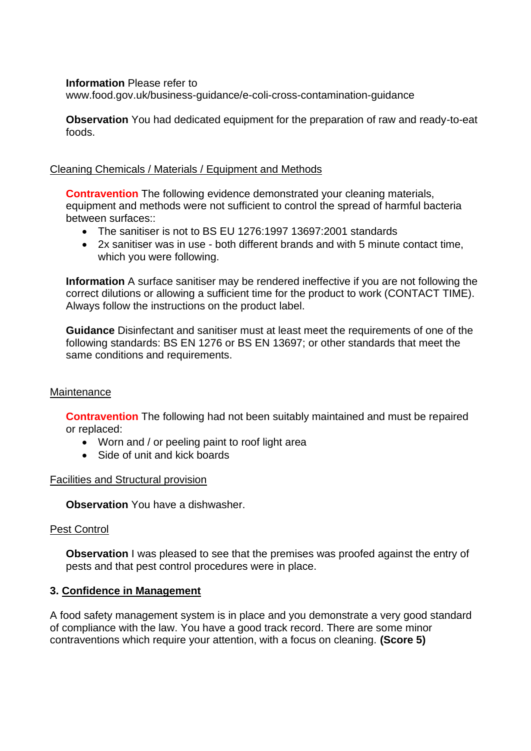#### **Information** Please refer to

www.food.gov.uk/business-guidance/e-coli-cross-contamination-guidance

**Observation** You had dedicated equipment for the preparation of raw and ready-to-eat foods.

## Cleaning Chemicals / Materials / Equipment and Methods

**Contravention** The following evidence demonstrated your cleaning materials, equipment and methods were not sufficient to control the spread of harmful bacteria between surfaces::

- The sanitiser is not to BS EU 1276:1997 13697:2001 standards
- 2x sanitiser was in use both different brands and with 5 minute contact time, which you were following.

**Information** A surface sanitiser may be rendered ineffective if you are not following the correct dilutions or allowing a sufficient time for the product to work (CONTACT TIME). Always follow the instructions on the product label.

**Guidance** Disinfectant and sanitiser must at least meet the requirements of one of the following standards: BS EN 1276 or BS EN 13697; or other standards that meet the same conditions and requirements.

## **Maintenance**

**Contravention** The following had not been suitably maintained and must be repaired or replaced:

- Worn and / or peeling paint to roof light area
- Side of unit and kick boards

## Facilities and Structural provision

**Observation** You have a dishwasher.

## Pest Control

**Observation** I was pleased to see that the premises was proofed against the entry of pests and that pest control procedures were in place.

## **3. Confidence in Management**

A food safety management system is in place and you demonstrate a very good standard of compliance with the law. You have a good track record. There are some minor contraventions which require your attention, with a focus on cleaning. **(Score 5)**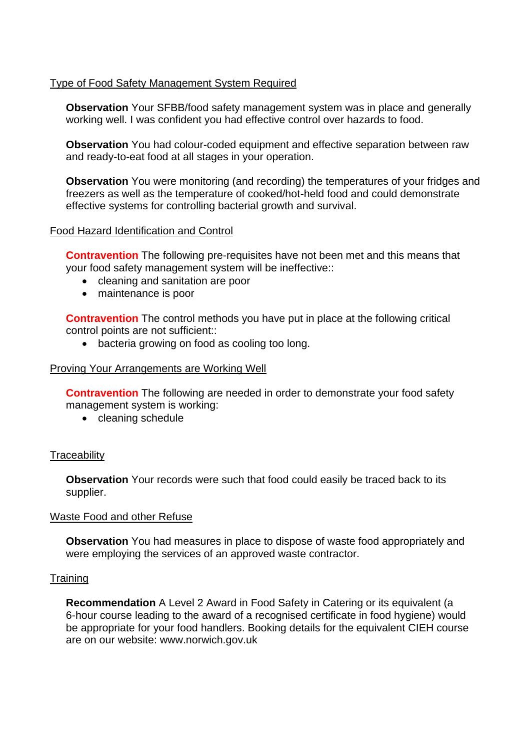## Type of Food Safety Management System Required

**Observation** Your SFBB/food safety management system was in place and generally working well. I was confident you had effective control over hazards to food.

**Observation** You had colour-coded equipment and effective separation between raw and ready-to-eat food at all stages in your operation.

**Observation** You were monitoring (and recording) the temperatures of your fridges and freezers as well as the temperature of cooked/hot-held food and could demonstrate effective systems for controlling bacterial growth and survival.

#### Food Hazard Identification and Control

**Contravention** The following pre-requisites have not been met and this means that your food safety management system will be ineffective::

- cleaning and sanitation are poor
- maintenance is poor

**Contravention** The control methods you have put in place at the following critical control points are not sufficient::

• bacteria growing on food as cooling too long.

#### Proving Your Arrangements are Working Well

**Contravention** The following are needed in order to demonstrate your food safety management system is working:

• cleaning schedule

#### **Traceability**

**Observation** Your records were such that food could easily be traced back to its supplier.

#### Waste Food and other Refuse

**Observation** You had measures in place to dispose of waste food appropriately and were employing the services of an approved waste contractor.

#### **Training**

**Recommendation** A Level 2 Award in Food Safety in Catering or its equivalent (a 6-hour course leading to the award of a recognised certificate in food hygiene) would be appropriate for your food handlers. Booking details for the equivalent CIEH course are on our website: www.norwich.gov.uk